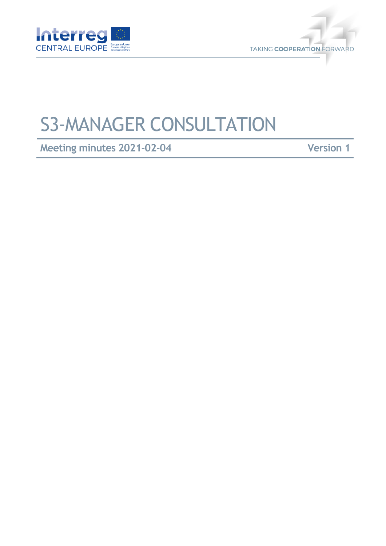



## S3-MANAGER CONSULTATION

**Meeting minutes 2021-02-04 Version 1**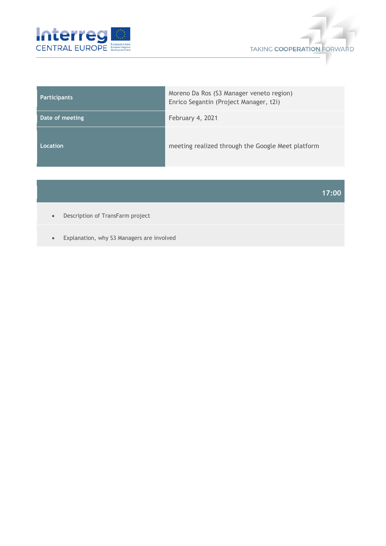



| <b>Participants</b> | Moreno Da Ros (S3 Manager veneto region)<br>Enrico Segantin (Project Manager, t2i) |
|---------------------|------------------------------------------------------------------------------------|
| Date of meeting     | February 4, 2021                                                                   |
| Location            | meeting realized through the Google Meet platform                                  |

## **17:00**

- Description of TransFarm project
- Explanation, why S3 Managers are involved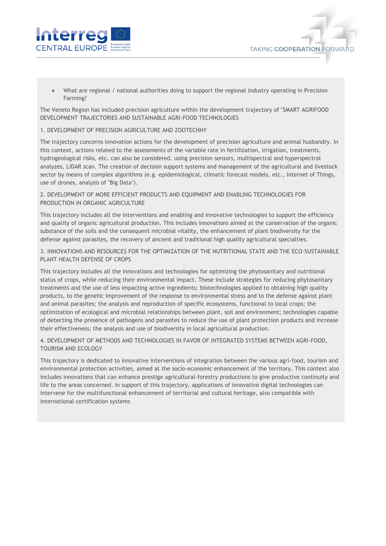



 What are regional / national authorities doing to support the regional industry operating in Precision Farming?

The Veneto Region has included precision agriculture within the development trajectory of "SMART AGRIFOOD DEVELOPMENT TRAJECTORIES AND SUSTAINABLE AGRI-FOOD TECHNOLOGIES

## 1. DEVELOPMENT OF PRECISION AGRICULTURE AND ZOOTECHNY

The trajectory concerns innovation actions for the development of precision agriculture and animal husbandry. In this context, actions related to the assessments of the variable rate in fertilization, irrigation, treatments, hydrogeological risks, etc. can also be considered. using precision sensors, multispectral and hyperspectral analyzes, LiDAR scan. The creation of decision support systems and management of the agricultural and livestock sector by means of complex algorithms (e.g. epidemiological, climatic forecast models, etc., Internet of Things, use of drones, analysis of "Big Data").

2. DEVELOPMENT OF MORE EFFICIENT PRODUCTS AND EQUIPMENT AND ENABLING TECHNOLOGIES FOR PRODUCTION IN ORGANIC AGRICULTURE

This trajectory includes all the interventions and enabling and innovative technologies to support the efficiency and quality of organic agricultural production. This includes innovations aimed at the conservation of the organic substance of the soils and the consequent microbial vitality, the enhancement of plant biodiversity for the defense against parasites, the recovery of ancient and traditional high quality agricultural specialties.

3. INNOVATIONS AND RESOURCES FOR THE OPTIMIZATION OF THE NUTRITIONAL STATE AND THE ECO-SUSTAINABLE PLANT HEALTH DEFENSE OF CROPS

This trajectory includes all the innovations and technologies for optimizing the phytosanitary and nutritional status of crops, while reducing their environmental impact. These include strategies for reducing phytosanitary treatments and the use of less impacting active ingredients; biotechnologies applied to obtaining high quality products, to the genetic improvement of the response to environmental stress and to the defense against plant and animal parasites; the analysis and reproduction of specific ecosystems, functional to local crops; the optimization of ecological and microbial relationships between plant, soil and environment; technologies capable of detecting the presence of pathogens and parasites to reduce the use of plant protection products and increase their effectiveness; the analysis and use of biodiversity in local agricultural production.

4. DEVELOPMENT OF METHODS AND TECHNOLOGIES IN FAVOR OF INTEGRATED SYSTEMS BETWEEN AGRI-FOOD, TOURISM AND ECOLOGY

This trajectory is dedicated to innovative interventions of integration between the various agri-food, tourism and environmental protection activities, aimed at the socio-economic enhancement of the territory. This context also includes innovations that can enhance prestige agricultural-forestry productions to give productive continuity and life to the areas concerned. In support of this trajectory, applications of innovative digital technologies can intervene for the multifunctional enhancement of territorial and cultural heritage, also compatible with international certification systems